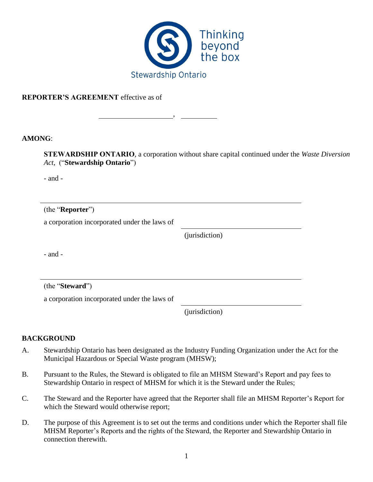

,

#### **REPORTER'S AGREEMENT** effective as of

#### **AMONG**:

**STEWARDSHIP ONTARIO**, a corporation without share capital continued under the *Waste Diversion Act*, ("**Stewardship Ontario**")

- and -

(the "**Reporter**")

a corporation incorporated under the laws of

(jurisdiction)

- and -

(the "**Steward**")

a corporation incorporated under the laws of

(jurisdiction)

## **BACKGROUND**

- A. Stewardship Ontario has been designated as the Industry Funding Organization under the Act for the Municipal Hazardous or Special Waste program (MHSW);
- B. Pursuant to the Rules, the Steward is obligated to file an MHSM Steward's Report and pay fees to Stewardship Ontario in respect of MHSM for which it is the Steward under the Rules;
- C. The Steward and the Reporter have agreed that the Reporter shall file an MHSM Reporter's Report for which the Steward would otherwise report;
- D. The purpose of this Agreement is to set out the terms and conditions under which the Reporter shall file MHSM Reporter's Reports and the rights of the Steward, the Reporter and Stewardship Ontario in connection therewith.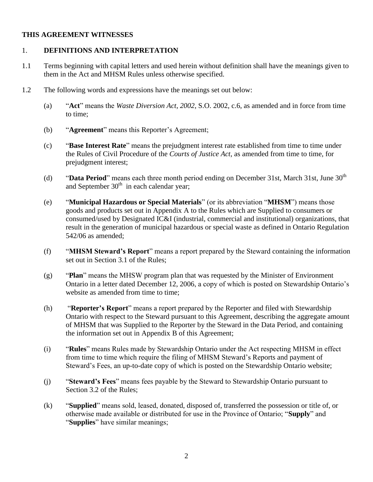#### **THIS AGREEMENT WITNESSES**

#### 1. **DEFINITIONS AND INTERPRETATION**

- 1.1 Terms beginning with capital letters and used herein without definition shall have the meanings given to them in the Act and MHSM Rules unless otherwise specified.
- 1.2 The following words and expressions have the meanings set out below:
	- (a) "**Act**" means the *Waste Diversion Act*, *2002*, S.O. 2002, c.6, as amended and in force from time to time;
	- (b) "**Agreement**" means this Reporter's Agreement;
	- (c) "**Base Interest Rate**" means the prejudgment interest rate established from time to time under the Rules of Civil Procedure of the *Courts of Justice Act*, as amended from time to time, for prejudgment interest;
	- (d) **"Data Period**" means each three month period ending on December 31st, March 31st, June 30<sup>th</sup> and September  $30<sup>th</sup>$  in each calendar year;
	- (e) "**Municipal Hazardous or Special Materials**" (or its abbreviation "**MHSM**") means those goods and products set out in Appendix A to the Rules which are Supplied to consumers or consumed/used by Designated IC&I (industrial, commercial and institutional) organizations, that result in the generation of municipal hazardous or special waste as defined in Ontario Regulation 542/06 as amended;
	- (f) "**MHSM Steward's Report**" means a report prepared by the Steward containing the information set out in Section 3.1 of the Rules;
	- (g) "**Plan**" means the MHSW program plan that was requested by the Minister of Environment Ontario in a letter dated December 12, 2006, a copy of which is posted on Stewardship Ontario's website as amended from time to time;
	- (h) "**Reporter's Report**" means a report prepared by the Reporter and filed with Stewardship Ontario with respect to the Steward pursuant to this Agreement, describing the aggregate amount of MHSM that was Supplied to the Reporter by the Steward in the Data Period, and containing the information set out in Appendix B of this Agreement;
	- (i) "**Rules**" means Rules made by Stewardship Ontario under the Act respecting MHSM in effect from time to time which require the filing of MHSM Steward's Reports and payment of Steward's Fees, an up-to-date copy of which is posted on the Stewardship Ontario website;
	- (j) "**Steward's Fees**" means fees payable by the Steward to Stewardship Ontario pursuant to Section 3.2 of the Rules;
	- (k) "**Supplied**" means sold, leased, donated, disposed of, transferred the possession or title of, or otherwise made available or distributed for use in the Province of Ontario; "**Supply**" and "**Supplies**" have similar meanings;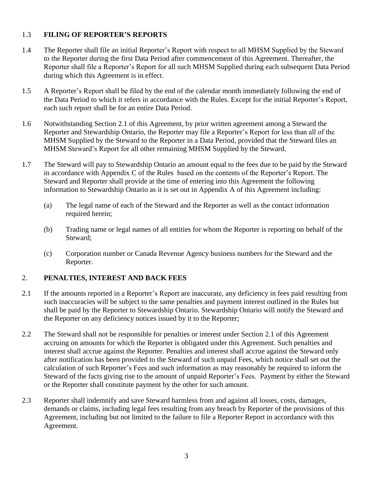# 1.3 **FILING OF REPORTER'S REPORTS**

- 1.4 The Reporter shall file an initial Reporter's Report with respect to all MHSM Supplied by the Steward to the Reporter during the first Data Period after commencement of this Agreement. Thereafter, the Reporter shall file a Reporter's Report for all such MHSM Supplied during each subsequent Data Period during which this Agreement is in effect.
- 1.5 A Reporter's Report shall be filed by the end of the calendar month immediately following the end of the Data Period to which it refers in accordance with the Rules. Except for the initial Reporter's Report, each such report shall be for an entire Data Period.
- 1.6 Notwithstanding Section 2.1 of this Agreement, by prior written agreement among a Steward the Reporter and Stewardship Ontario, the Reporter may file a Reporter's Report for less than all of the MHSM Supplied by the Steward to the Reporter in a Data Period, provided that the Steward files an MHSM Steward's Report for all other remaining MHSM Supplied by the Steward.
- 1.7 The Steward will pay to Stewardship Ontario an amount equal to the fees due to be paid by the Steward in accordance with Appendix C of the Rules based on the contents of the Reporter's Report. The Steward and Reporter shall provide at the time of entering into this Agreement the following information to Stewardship Ontario as it is set out in Appendix A of this Agreement including:
	- (a) The legal name of each of the Steward and the Reporter as well as the contact information required herein;
	- (b) Trading name or legal names of all entities for whom the Reporter is reporting on behalf of the Steward;
	- (c) Corporation number or Canada Revenue Agency business numbers for the Steward and the Reporter.

# 2. **PENALTIES, INTEREST AND BACK FEES**

- 2.1 If the amounts reported in a Reporter's Report are inaccurate, any deficiency in fees paid resulting from such inaccuracies will be subject to the same penalties and payment interest outlined in the Rules but shall be paid by the Reporter to Stewardship Ontario. Stewardship Ontario will notify the Steward and the Reporter on any deficiency notices issued by it to the Reporter;
- 2.2 The Steward shall not be responsible for penalties or interest under Section 2.1 of this Agreement accruing on amounts for which the Reporter is obligated under this Agreement. Such penalties and interest shall accrue against the Reporter. Penalties and interest shall accrue against the Steward only after notification has been provided to the Steward of such unpaid Fees, which notice shall set out the calculation of such Reporter's Fees and such information as may reasonably be required to inform the Steward of the facts giving rise to the amount of unpaid Reporter's Fees. Payment by either the Steward or the Reporter shall constitute payment by the other for such amount.
- 2.3 Reporter shall indemnify and save Steward harmless from and against all losses, costs, damages, demands or claims, including legal fees resulting from any breach by Reporter of the provisions of this Agreement, including but not limited to the failure to file a Reporter Report in accordance with this Agreement.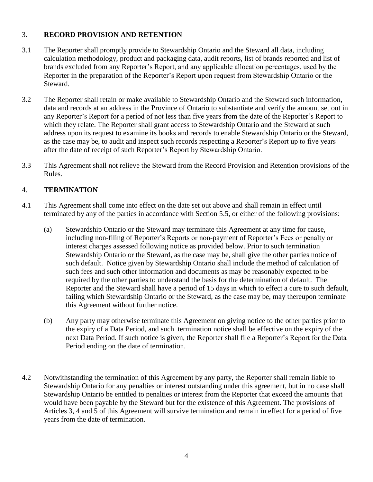# 3. **RECORD PROVISION AND RETENTION**

- 3.1 The Reporter shall promptly provide to Stewardship Ontario and the Steward all data, including calculation methodology, product and packaging data, audit reports, list of brands reported and list of brands excluded from any Reporter's Report, and any applicable allocation percentages, used by the Reporter in the preparation of the Reporter's Report upon request from Stewardship Ontario or the Steward.
- 3.2 The Reporter shall retain or make available to Stewardship Ontario and the Steward such information, data and records at an address in the Province of Ontario to substantiate and verify the amount set out in any Reporter's Report for a period of not less than five years from the date of the Reporter's Report to which they relate. The Reporter shall grant access to Stewardship Ontario and the Steward at such address upon its request to examine its books and records to enable Stewardship Ontario or the Steward, as the case may be, to audit and inspect such records respecting a Reporter's Report up to five years after the date of receipt of such Reporter's Report by Stewardship Ontario.
- 3.3 This Agreement shall not relieve the Steward from the Record Provision and Retention provisions of the Rules.

# 4. **TERMINATION**

- 4.1 This Agreement shall come into effect on the date set out above and shall remain in effect until terminated by any of the parties in accordance with Section 5.5, or either of the following provisions:
	- (a) Stewardship Ontario or the Steward may terminate this Agreement at any time for cause, including non-filing of Reporter's Reports or non-payment of Reporter's Fees or penalty or interest charges assessed following notice as provided below. Prior to such termination Stewardship Ontario or the Steward, as the case may be, shall give the other parties notice of such default. Notice given by Stewardship Ontario shall include the method of calculation of such fees and such other information and documents as may be reasonably expected to be required by the other parties to understand the basis for the determination of default. The Reporter and the Steward shall have a period of 15 days in which to effect a cure to such default, failing which Stewardship Ontario or the Steward, as the case may be, may thereupon terminate this Agreement without further notice.
	- (b) Any party may otherwise terminate this Agreement on giving notice to the other parties prior to the expiry of a Data Period, and such termination notice shall be effective on the expiry of the next Data Period. If such notice is given, the Reporter shall file a Reporter's Report for the Data Period ending on the date of termination.
- 4.2 Notwithstanding the termination of this Agreement by any party, the Reporter shall remain liable to Stewardship Ontario for any penalties or interest outstanding under this agreement, but in no case shall Stewardship Ontario be entitled to penalties or interest from the Reporter that exceed the amounts that would have been payable by the Steward but for the existence of this Agreement. The provisions of Articles 3, 4 and 5 of this Agreement will survive termination and remain in effect for a period of five years from the date of termination.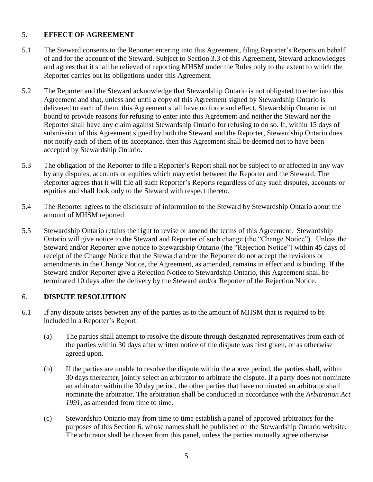# 5. **EFFECT OF AGREEMENT**

- 5.1 The Steward consents to the Reporter entering into this Agreement, filing Reporter's Reports on behalf of and for the account of the Steward. Subject to Section 3.3 of this Agreement, Steward acknowledges and agrees that it shall be relieved of reporting MHSM under the Rules only to the extent to which the Reporter carries out its obligations under this Agreement.
- 5.2 The Reporter and the Steward acknowledge that Stewardship Ontario is not obligated to enter into this Agreement and that, unless and until a copy of this Agreement signed by Stewardship Ontario is delivered to each of them, this Agreement shall have no force and effect. Stewardship Ontario is not bound to provide reasons for refusing to enter into this Agreement and neither the Steward nor the Reporter shall have any claim against Stewardship Ontario for refusing to do so. If, within 15 days of submission of this Agreement signed by both the Steward and the Reporter, Stewardship Ontario does not notify each of them of its acceptance, then this Agreement shall be deemed not to have been accepted by Stewardship Ontario.
- 5.3 The obligation of the Reporter to file a Reporter's Report shall not be subject to or affected in any way by any disputes, accounts or equities which may exist between the Reporter and the Steward. The Reporter agrees that it will file all such Reporter's Reports regardless of any such disputes, accounts or equities and shall look only to the Steward with respect thereto.
- 5.4 The Reporter agrees to the disclosure of information to the Steward by Stewardship Ontario about the amount of MHSM reported.
- 5.5 Stewardship Ontario retains the right to revise or amend the terms of this Agreement. Stewardship Ontario will give notice to the Steward and Reporter of such change (the "Change Notice"). Unless the Steward and/or Reporter give notice to Stewardship Ontario (the "Rejection Notice") within 45 days of receipt of the Change Notice that the Steward and/or the Reporter do not accept the revisions or amendments in the Change Notice, the Agreement, as amended, remains in effect and is binding. If the Steward and/or Reporter give a Rejection Notice to Stewardship Ontario, this Agreement shall be terminated 10 days after the delivery by the Steward and/or Reporter of the Rejection Notice.

## 6. **DISPUTE RESOLUTION**

- 6.1 If any dispute arises between any of the parties as to the amount of MHSM that is required to be included in a Reporter's Report:
	- (a) The parties shall attempt to resolve the dispute through designated representatives from each of the parties within 30 days after written notice of the dispute was first given, or as otherwise agreed upon.
	- (b) If the parties are unable to resolve the dispute within the above period, the parties shall, within 30 days thereafter, jointly select an arbitrator to arbitrate the dispute. If a party does not nominate an arbitrator within the 30 day period, the other parties that have nominated an arbitrator shall nominate the arbitrator. The arbitration shall be conducted in accordance with the *Arbitration Act*  1991, as amended from time to time.
	- (c) Stewardship Ontario may from time to time establish a panel of approved arbitrators for the purposes of this Section 6, whose names shall be published on the Stewardship Ontario website. The arbitrator shall be chosen from this panel, unless the parties mutually agree otherwise.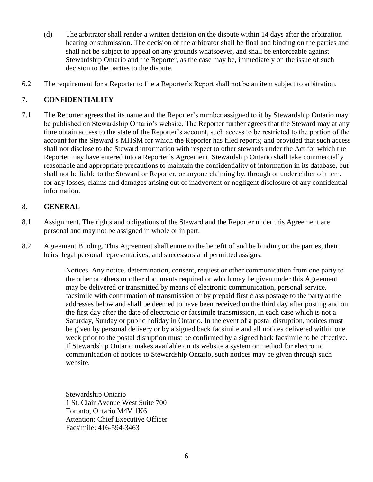- (d) The arbitrator shall render a written decision on the dispute within 14 days after the arbitration hearing or submission. The decision of the arbitrator shall be final and binding on the parties and shall not be subject to appeal on any grounds whatsoever, and shall be enforceable against Stewardship Ontario and the Reporter, as the case may be, immediately on the issue of such decision to the parties to the dispute.
- 6.2 The requirement for a Reporter to file a Reporter's Report shall not be an item subject to arbitration.

# 7. **CONFIDENTIALITY**

7.1 The Reporter agrees that its name and the Reporter's number assigned to it by Stewardship Ontario may be published on Stewardship Ontario's website. The Reporter further agrees that the Steward may at any time obtain access to the state of the Reporter's account, such access to be restricted to the portion of the account for the Steward's MHSM for which the Reporter has filed reports; and provided that such access shall not disclose to the Steward information with respect to other stewards under the Act for which the Reporter may have entered into a Reporter's Agreement. Stewardship Ontario shall take commercially reasonable and appropriate precautions to maintain the confidentiality of information in its database, but shall not be liable to the Steward or Reporter, or anyone claiming by, through or under either of them, for any losses, claims and damages arising out of inadvertent or negligent disclosure of any confidential information.

## 8. **GENERAL**

- 8.1 Assignment. The rights and obligations of the Steward and the Reporter under this Agreement are personal and may not be assigned in whole or in part.
- 8.2 Agreement Binding. This Agreement shall enure to the benefit of and be binding on the parties, their heirs, legal personal representatives, and successors and permitted assigns.

Notices. Any notice, determination, consent, request or other communication from one party to the other or others or other documents required or which may be given under this Agreement may be delivered or transmitted by means of electronic communication, personal service, facsimile with confirmation of transmission or by prepaid first class postage to the party at the addresses below and shall be deemed to have been received on the third day after posting and on the first day after the date of electronic or facsimile transmission, in each case which is not a Saturday, Sunday or public holiday in Ontario. In the event of a postal disruption, notices must be given by personal delivery or by a signed back facsimile and all notices delivered within one week prior to the postal disruption must be confirmed by a signed back facsimile to be effective. If Stewardship Ontario makes available on its website a system or method for electronic communication of notices to Stewardship Ontario, such notices may be given through such website.

Stewardship Ontario 1 St. Clair Avenue West Suite 700 Toronto, Ontario M4V 1K6 Attention: Chief Executive Officer Facsimile: 416-594-3463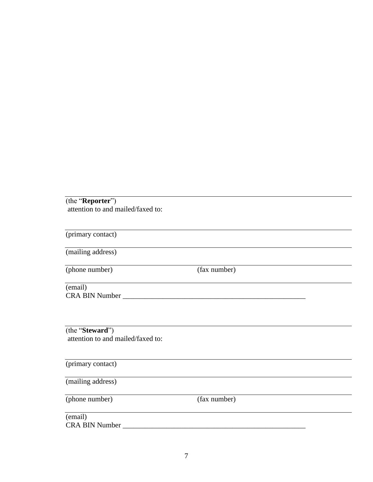(the "**Reporter**") attention to and mailed/faxed to:

(primary contact) (mailing address) (phone number) (fax number) (email) CRA BIN Number \_\_\_\_\_\_\_\_\_\_\_\_\_\_\_\_\_\_\_\_\_\_\_\_\_\_\_\_\_\_\_\_\_\_\_\_\_\_\_\_\_\_\_\_\_\_\_\_\_\_ <u> 1980 - Johann Barbara, martxa amerikan personal (h. 1980).</u> (the "**Steward**") attention to and mailed/faxed to: (primary contact) (mailing address) (phone number) (fax number) (email) CRA BIN Number \_\_\_\_\_\_\_\_\_\_\_\_\_\_\_\_\_\_\_\_\_\_\_\_\_\_\_\_\_\_\_\_\_\_\_\_\_\_\_\_\_\_\_\_\_\_\_\_\_\_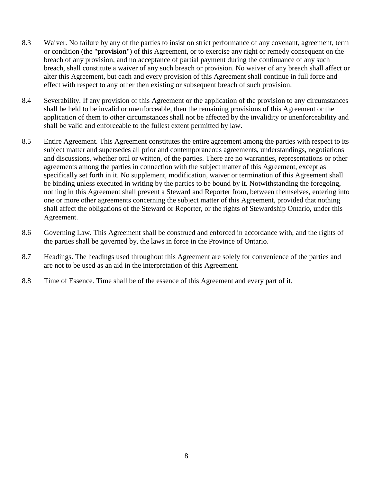- 8.3 Waiver. No failure by any of the parties to insist on strict performance of any covenant, agreement, term or condition (the "**provision**") of this Agreement, or to exercise any right or remedy consequent on the breach of any provision, and no acceptance of partial payment during the continuance of any such breach, shall constitute a waiver of any such breach or provision. No waiver of any breach shall affect or alter this Agreement, but each and every provision of this Agreement shall continue in full force and effect with respect to any other then existing or subsequent breach of such provision.
- 8.4 Severability. If any provision of this Agreement or the application of the provision to any circumstances shall be held to be invalid or unenforceable, then the remaining provisions of this Agreement or the application of them to other circumstances shall not be affected by the invalidity or unenforceability and shall be valid and enforceable to the fullest extent permitted by law.
- 8.5 Entire Agreement. This Agreement constitutes the entire agreement among the parties with respect to its subject matter and supersedes all prior and contemporaneous agreements, understandings, negotiations and discussions, whether oral or written, of the parties. There are no warranties, representations or other agreements among the parties in connection with the subject matter of this Agreement, except as specifically set forth in it. No supplement, modification, waiver or termination of this Agreement shall be binding unless executed in writing by the parties to be bound by it. Notwithstanding the foregoing, nothing in this Agreement shall prevent a Steward and Reporter from, between themselves, entering into one or more other agreements concerning the subject matter of this Agreement, provided that nothing shall affect the obligations of the Steward or Reporter, or the rights of Stewardship Ontario, under this Agreement.
- 8.6 Governing Law. This Agreement shall be construed and enforced in accordance with, and the rights of the parties shall be governed by, the laws in force in the Province of Ontario.
- 8.7 Headings. The headings used throughout this Agreement are solely for convenience of the parties and are not to be used as an aid in the interpretation of this Agreement.
- 8.8 Time of Essence. Time shall be of the essence of this Agreement and every part of it.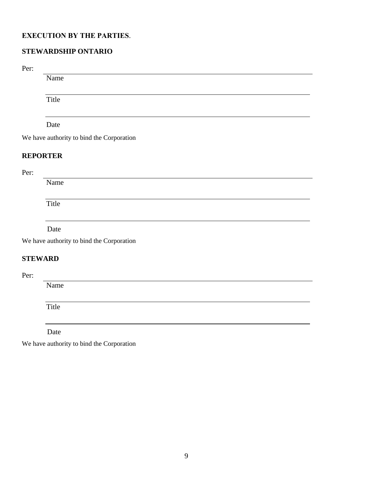# **EXECUTION BY THE PARTIES**.

# **STEWARDSHIP ONTARIO**

Per:

Name

Title

# Date

We have authority to bind the Corporation

## **REPORTER**

Per:

Name

Title

#### Date

We have authority to bind the Corporation

# **STEWARD**

Per:

Name

Title

Date

We have authority to bind the Corporation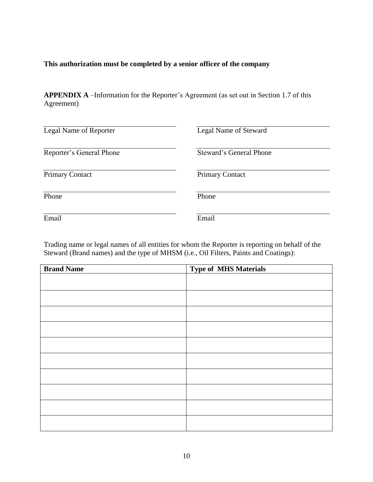## **This authorization must be completed by a senior officer of the company**

**APPENDIX A** –Information for the Reporter's Agreement (as set out in Section 1.7 of this Agreement)

| Legal Name of Reporter   | Legal Name of Steward          |
|--------------------------|--------------------------------|
| Reporter's General Phone | <b>Steward's General Phone</b> |
| <b>Primary Contact</b>   | <b>Primary Contact</b>         |
| Phone                    | Phone                          |
| Email                    | Email                          |

Trading name or legal names of all entities for whom the Reporter is reporting on behalf of the Steward (Brand names) and the type of MHSM (i.e., Oil Filters, Paints and Coatings):

| <b>Brand Name</b> | <b>Type of MHS Materials</b> |
|-------------------|------------------------------|
|                   |                              |
|                   |                              |
|                   |                              |
|                   |                              |
|                   |                              |
|                   |                              |
|                   |                              |
|                   |                              |
|                   |                              |
|                   |                              |
|                   |                              |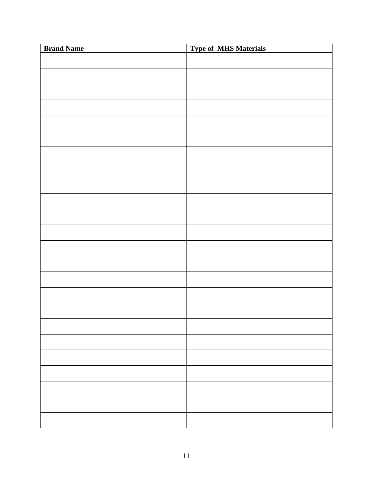| <b>Brand Name</b> | <b>Type of MHS Materials</b> |
|-------------------|------------------------------|
|                   |                              |
|                   |                              |
|                   |                              |
|                   |                              |
|                   |                              |
|                   |                              |
|                   |                              |
|                   |                              |
|                   |                              |
|                   |                              |
|                   |                              |
|                   |                              |
|                   |                              |
|                   |                              |
|                   |                              |
|                   |                              |
|                   |                              |
|                   |                              |
|                   |                              |
|                   |                              |
|                   |                              |
|                   |                              |
|                   |                              |
|                   |                              |
|                   |                              |
|                   |                              |
|                   |                              |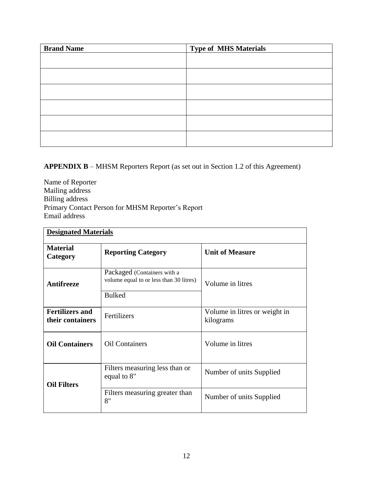| <b>Brand Name</b> | <b>Type of MHS Materials</b> |
|-------------------|------------------------------|
|                   |                              |
|                   |                              |
|                   |                              |
|                   |                              |
|                   |                              |
|                   |                              |
|                   |                              |

# **APPENDIX B** – MHSM Reporters Report (as set out in Section 1.2 of this Agreement)

Name of Reporter Mailing address Billing address Primary Contact Person for MHSM Reporter's Report Email address

| <b>Designated Materials</b>                |                                                                                         |                                            |  |
|--------------------------------------------|-----------------------------------------------------------------------------------------|--------------------------------------------|--|
| <b>Material</b><br>Category                | <b>Reporting Category</b>                                                               | <b>Unit of Measure</b>                     |  |
| Antifreeze                                 | Packaged (Containers with a<br>volume equal to or less than 30 litres)<br><b>Bulked</b> | Volume in litres                           |  |
| <b>Fertilizers and</b><br>their containers | Fertilizers                                                                             | Volume in litres or weight in<br>kilograms |  |
| <b>Oil Containers</b>                      | <b>Oil Containers</b>                                                                   | Volume in litres                           |  |
| <b>Oil Filters</b>                         | Filters measuring less than or<br>equal to 8"                                           | Number of units Supplied                   |  |
|                                            | Filters measuring greater than<br>8"                                                    | Number of units Supplied                   |  |